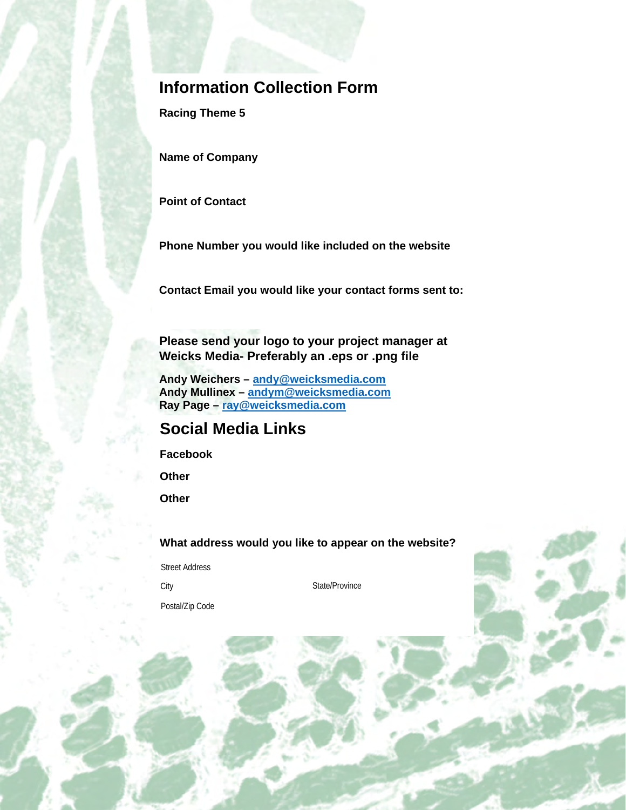## **Information Collection Form**

**Racing Theme 5** 

**Name of Company**

**Point of Contact**

**Phone Number you would like included on the website**

**Contact Email you would like your contact forms sent to:**

**Please send your logo to your project manager at Weicks Media- Preferably an .eps or .png file**

**Andy Weichers – [andy@weicksmedia.com](mailto:andy@weicksmedia.com) Andy Mullinex – [andym@weicksmedia.com](mailto:andym@weicksmedia.com) Ray Page – [ray@weicksmedia.com](mailto:ray@weicksmedia.com)**

## **Social Media Links**

**Facebook**

**Other**

**Other**

**What address would you like to appear on the website?**

Street Address

City State/Province

Postal/Zip Code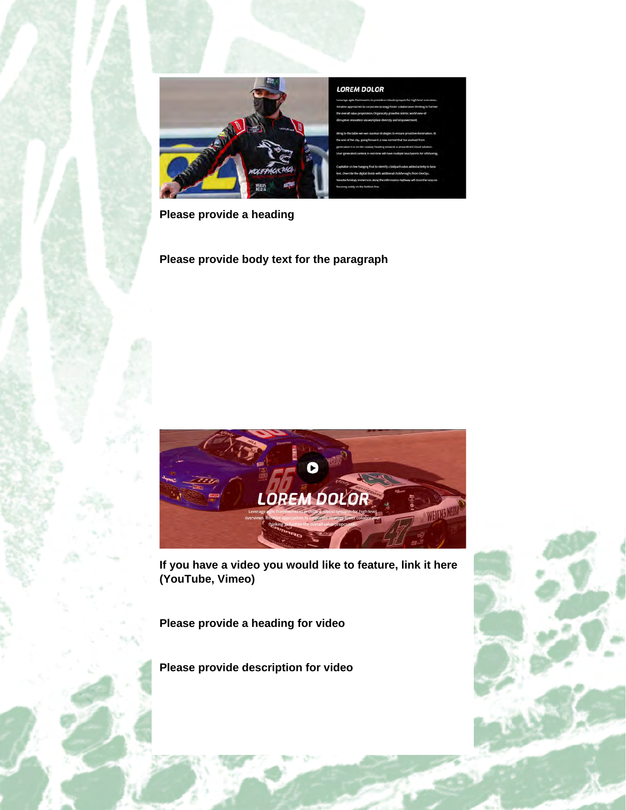

**Please provide a heading**

**Please provide body text for the paragraph**



**If you have a video you would like to feature, link it here (YouTube, Vimeo)**

**Please provide a heading for video**

**Please provide description for video**

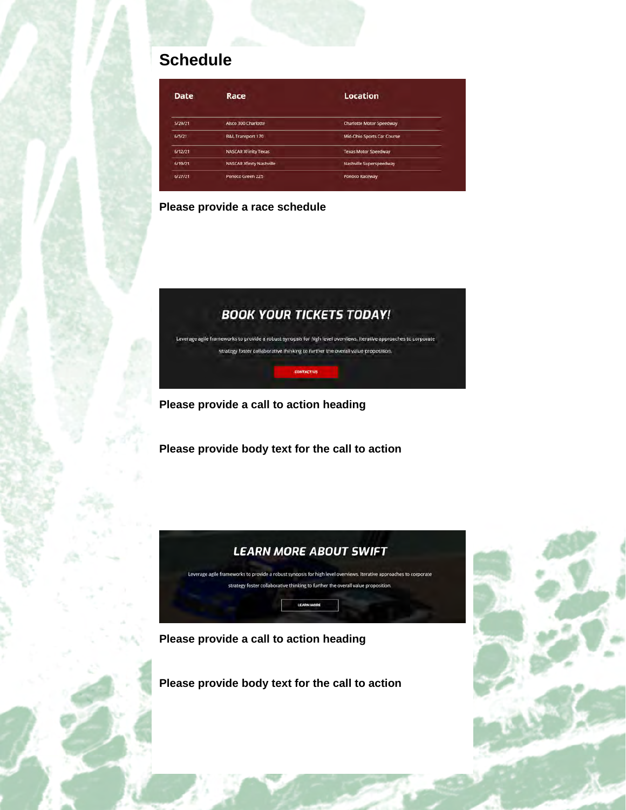# **Schedule**

| Date    | Race                            | Location                        |
|---------|---------------------------------|---------------------------------|
| 5/29/21 | Alsco 300 Charlotte             | <b>Charlotte Motor Speedway</b> |
| 6/5/21  | <b>B&amp;L Transport 170</b>    | Mid-Ohio Sports Car Course      |
| 6/12/21 | <b>NASCAR XFinity Texas</b>     | <b>Texas Motor Speedway</b>     |
| 6/19/21 | <b>NASCAR Xfinity Nashville</b> | Nashville Superspeedway         |
| 6/27/21 | Ponoco Green 225                | Ponoco Raceway                  |

#### **Please provide a race schedule**

## **BOOK YOUR TICKETS TODAY!**

Leverage agile frameworks to provide a robust synopsis for high level overviews. Iterative approaches to corporate strategy foster collaborative thinking to further the overall value proposition.

**CONTACT US** 

**Please provide a call to action heading**

**Please provide body text for the call to action**



**Please provide a call to action heading**

**Please provide body text for the call to action**

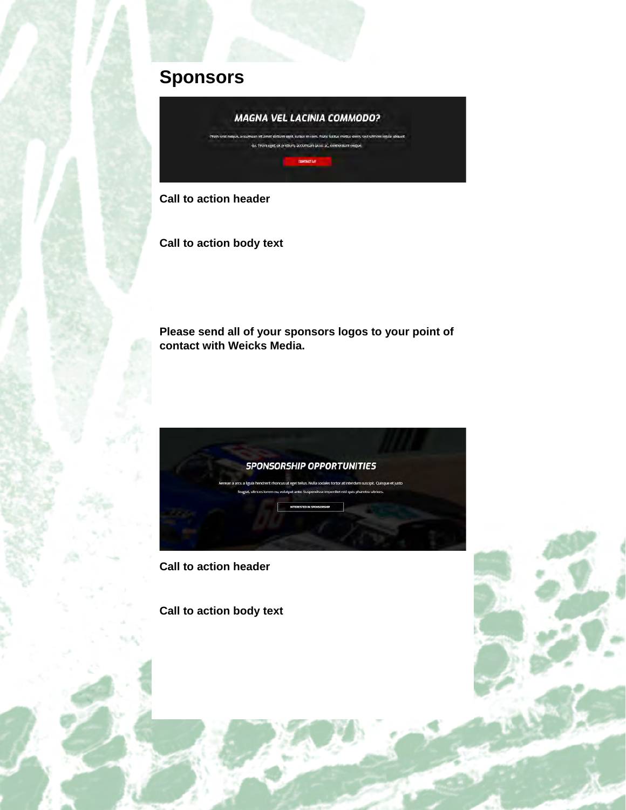# **Sponsors**



**Call to action header**

**Call to action body text**

**Please send all of your sponsors logos to your point of contact with Weicks Media.**



**Call to action header**

**Call to action body text**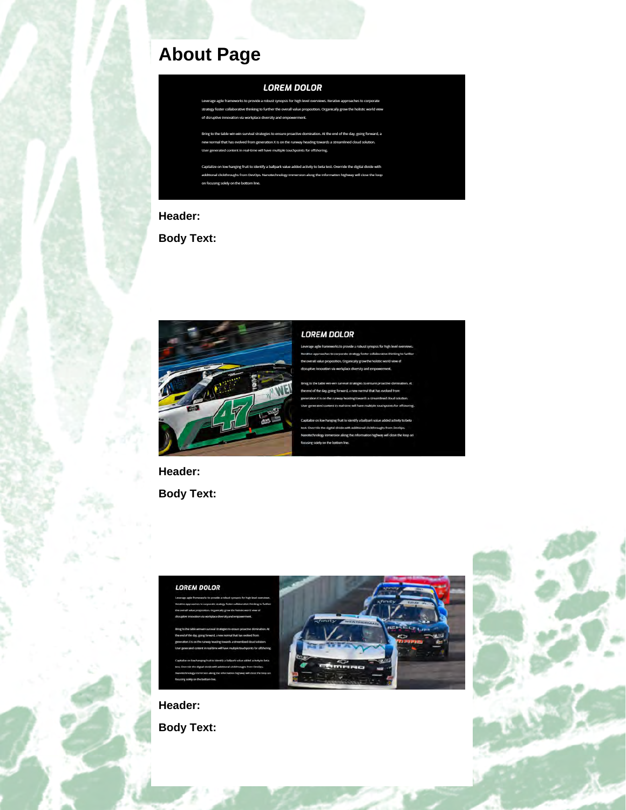# **About Page**

#### **LOREM DOLOR**

nopsis for high level ov thinking to fur uptive innovation via workplace div

the table win-win survival strategies to ation. At the end of the day, going forward, a that has evolved from gen ation X is on the ru ading towards a strea nt in real-time will have multiple touchpoints for offshoring.

ntify a ballpark value added activity to beta test. Ow hs from DevOns blely on the bottom lin

## **Header:**

**Body Text:**



#### **LOREM DOLOR**

**Header:**

**Body Text:**





**Body Text:**